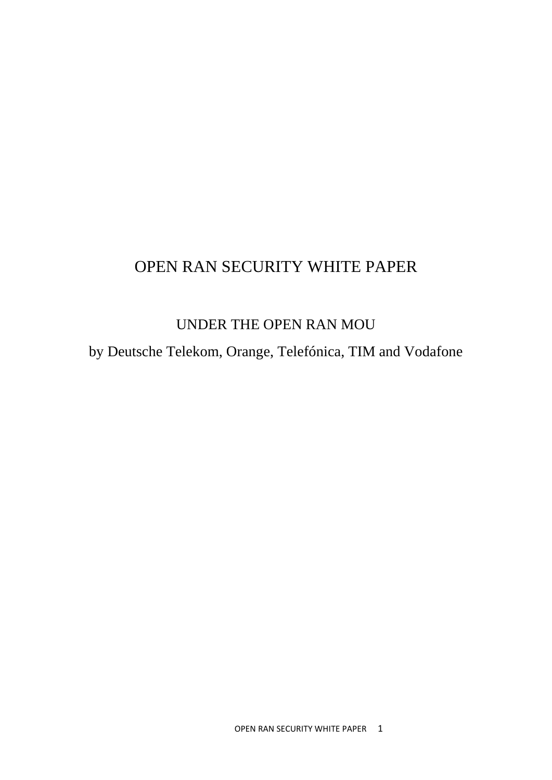# OPEN RAN SECURITY WHITE PAPER

# UNDER THE OPEN RAN MOU

by Deutsche Telekom, Orange, Telefónica, TIM and Vodafone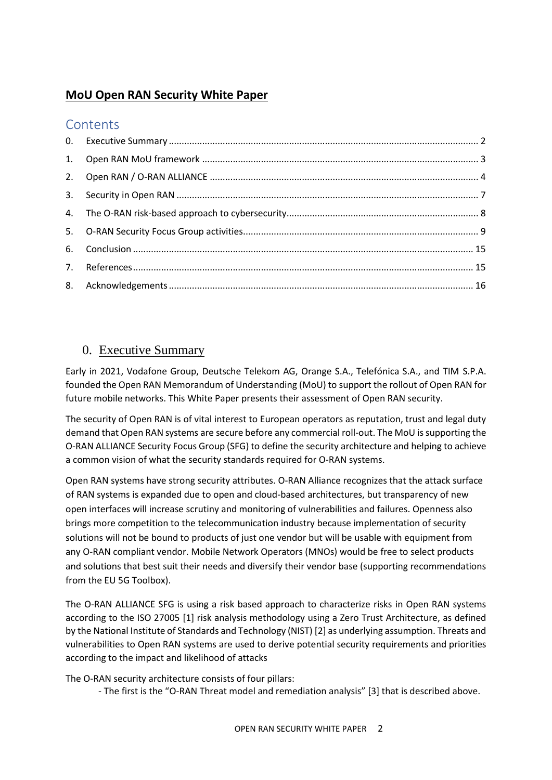# **MoU Open RAN Security White Paper**

# **Contents**

# <span id="page-1-0"></span>0. Executive Summary

Early in 2021, Vodafone Group, Deutsche Telekom AG, Orange S.A., Telefónica S.A., and TIM S.P.A. founded the Open RAN Memorandum of Understanding (MoU) to support the rollout of Open RAN for future mobile networks. This White Paper presents their assessment of Open RAN security.

The security of Open RAN is of vital interest to European operators as reputation, trust and legal duty demand that Open RAN systems are secure before any commercial roll-out. The MoU is supporting the O-RAN ALLIANCE Security Focus Group (SFG) to define the security architecture and helping to achieve a common vision of what the security standards required for O-RAN systems.

Open RAN systems have strong security attributes. O-RAN Alliance recognizes that the attack surface of RAN systems is expanded due to open and cloud-based architectures, but transparency of new open interfaces will increase scrutiny and monitoring of vulnerabilities and failures. Openness also brings more competition to the telecommunication industry because implementation of security solutions will not be bound to products of just one vendor but will be usable with equipment from any O-RAN compliant vendor. Mobile Network Operators (MNOs) would be free to select products and solutions that best suit their needs and diversify their vendor base (supporting recommendations from the EU 5G Toolbox).

The O-RAN ALLIANCE SFG is using a risk based approach to characterize risks in Open RAN systems according to the ISO 27005 [\[1\]](#page-14-1) risk analysis methodology using a Zero Trust Architecture, as defined by the National Institute of Standards and Technology (NIST[\) \[2\]](#page-14-2) as underlying assumption. Threats and vulnerabilities to Open RAN systems are used to derive potential security requirements and priorities according to the impact and likelihood of attacks

The O-RAN security architecture consists of four pillars:

- The first is the "O-RAN Threat model and remediation analysis" [\[3\]](#page-14-3) that is described above.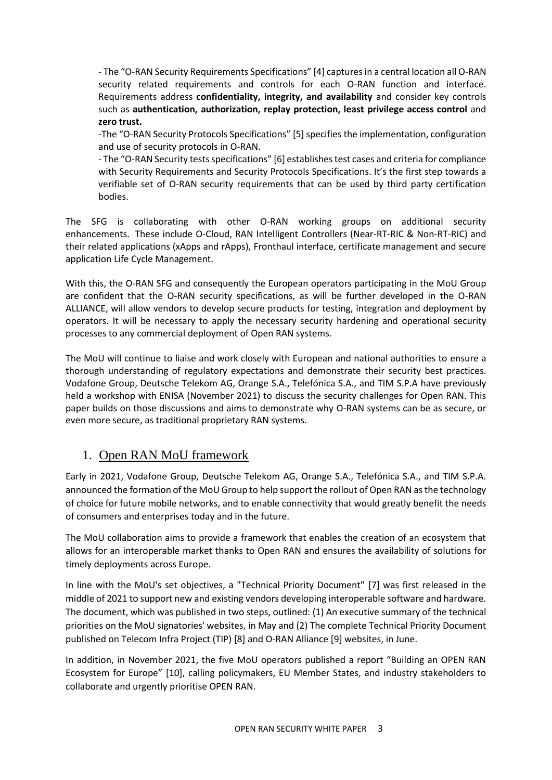- The "O-RAN Security Requirements Specifications" [\[4\]](#page-14-4) captures in a central location all O-RAN security related requirements and controls for each O-RAN function and interface. Requirements address **confidentiality, integrity, and availability** and consider key controls such as **authentication, authorization, replay protection, least privilege access control** and **zero trust.** 

-The "O-RAN Security Protocols Specifications" [\[5\]](#page-14-5) specifies the implementation, configuration and use of security protocols in O-RAN.

- The "O-RAN Security tests specifications" [\[6\]](#page-14-6) establishes test cases and criteria for compliance with Security Requirements and Security Protocols Specifications. It's the first step towards a verifiable set of O-RAN security requirements that can be used by third party certification bodies.

The SFG is collaborating with other O-RAN working groups on additional security enhancements. These include O-Cloud, RAN Intelligent Controllers (Near-RT-RIC & Non-RT-RIC) and their related applications (xApps and rApps), Fronthaul interface, certificate management and secure application Life Cycle Management.

With this, the O-RAN SFG and consequently the European operators participating in the MoU Group are confident that the O-RAN security specifications, as will be further developed in the O-RAN ALLIANCE, will allow vendors to develop secure products for testing, integration and deployment by operators. It will be necessary to apply the necessary security hardening and operational security processes to any commercial deployment of Open RAN systems.

The MoU will continue to liaise and work closely with European and national authorities to ensure a thorough understanding of regulatory expectations and demonstrate their security best practices. Vodafone Group, Deutsche Telekom AG, Orange S.A., Telefónica S.A., and TIM S.P.A have previously held a workshop with ENISA (November 2021) to discuss the security challenges for Open RAN. This paper builds on those discussions and aims to demonstrate why O-RAN systems can be as secure, or even more secure, as traditional proprietary RAN systems.

## <span id="page-2-0"></span>1. Open RAN MoU framework

Early in 2021, Vodafone Group, Deutsche Telekom AG, Orange S.A., Telefónica S.A., and TIM S.P.A. announced the formation of the MoU Group to help support the rollout of Open RAN as the technology of choice for future mobile networks, and to enable connectivity that would greatly benefit the needs of consumers and enterprises today and in the future.

The MoU collaboration aims to provide a framework that enables the creation of an ecosystem that allows for an interoperable market thanks to Open RAN and ensures the availability of solutions for timely deployments across Europe.

In line with the MoU's set objectives, a "Technical Priority Document" [\[7\]](#page-14-7) was first released in the middle of 2021 to support new and existing vendors developing interoperable software and hardware. The document, which was published in two steps, outlined: (1) An executive summary of the technical priorities on the MoU signatories' websites, in May and (2) The complete Technical Priority Document published on Telecom Infra Project (TIP) [\[8\]](#page-14-8) and O-RAN Allianc[e \[9\]](#page-15-1) websites, in June.

In addition, in November 2021, the five MoU operators published a report "Building an OPEN RAN Ecosystem for Europe" [\[10\],](#page-15-2) calling policymakers, EU Member States, and industry stakeholders to collaborate and urgently prioritise OPEN RAN.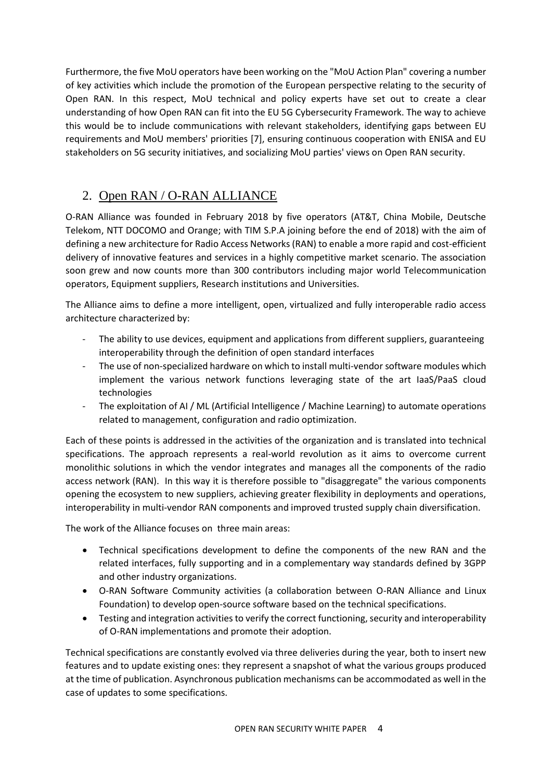Furthermore, the five MoU operators have been working on the "MoU Action Plan" covering a number of key activities which include the promotion of the European perspective relating to the security of Open RAN. In this respect, MoU technical and policy experts have set out to create a clear understanding of how Open RAN can fit into the EU 5G Cybersecurity Framework. The way to achieve this would be to include communications with relevant stakeholders, identifying gaps between EU requirements and MoU members' priorities [\[7\],](#page-14-7) ensuring continuous cooperation with ENISA and EU stakeholders on 5G security initiatives, and socializing MoU parties' views on Open RAN security.

# <span id="page-3-0"></span>2. Open RAN / O-RAN ALLIANCE

O-RAN Alliance was founded in February 2018 by five operators (AT&T, China Mobile, Deutsche Telekom, NTT DOCOMO and Orange; with TIM S.P.A joining before the end of 2018) with the aim of defining a new architecture for Radio Access Networks (RAN) to enable a more rapid and cost-efficient delivery of innovative features and services in a highly competitive market scenario. The association soon grew and now counts more than 300 contributors including major world Telecommunication operators, Equipment suppliers, Research institutions and Universities.

The Alliance aims to define a more intelligent, open, virtualized and fully interoperable radio access architecture characterized by:

- The ability to use devices, equipment and applications from different suppliers, guaranteeing interoperability through the definition of open standard interfaces
- The use of non-specialized hardware on which to install multi-vendor software modules which implement the various network functions leveraging state of the art IaaS/PaaS cloud technologies
- The exploitation of AI / ML (Artificial Intelligence / Machine Learning) to automate operations related to management, configuration and radio optimization.

Each of these points is addressed in the activities of the organization and is translated into technical specifications. The approach represents a real-world revolution as it aims to overcome current monolithic solutions in which the vendor integrates and manages all the components of the radio access network (RAN). In this way it is therefore possible to "disaggregate" the various components opening the ecosystem to new suppliers, achieving greater flexibility in deployments and operations, interoperability in multi-vendor RAN components and improved trusted supply chain diversification.

The work of the Alliance focuses on three main areas:

- Technical specifications development to define the components of the new RAN and the related interfaces, fully supporting and in a complementary way standards defined by 3GPP and other industry organizations.
- O-RAN Software Community activities (a collaboration between O-RAN Alliance and Linux Foundation) to develop open-source software based on the technical specifications.
- Testing and integration activities to verify the correct functioning, security and interoperability of O-RAN implementations and promote their adoption.

Technical specifications are constantly evolved via three deliveries during the year, both to insert new features and to update existing ones: they represent a snapshot of what the various groups produced at the time of publication. Asynchronous publication mechanisms can be accommodated as well in the case of updates to some specifications.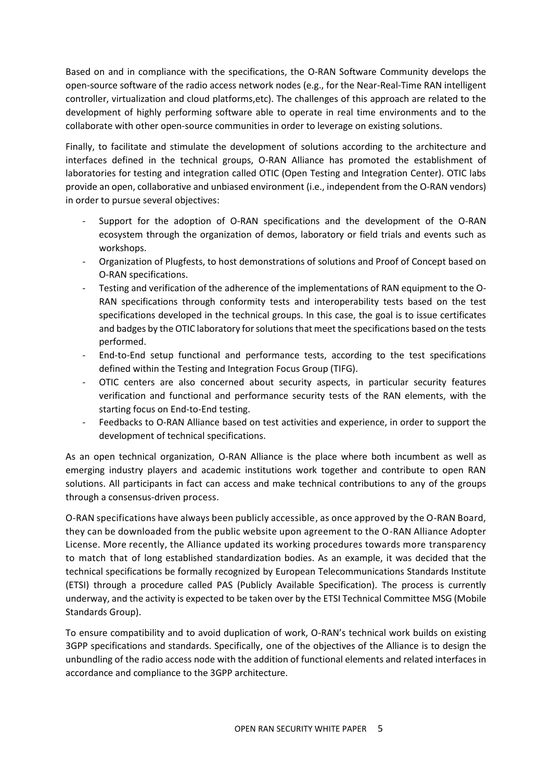Based on and in compliance with the specifications, the O-RAN Software Community develops the open-source software of the radio access network nodes (e.g., for the Near-Real-Time RAN intelligent controller, virtualization and cloud platforms,etc). The challenges of this approach are related to the development of highly performing software able to operate in real time environments and to the collaborate with other open-source communities in order to leverage on existing solutions.

Finally, to facilitate and stimulate the development of solutions according to the architecture and interfaces defined in the technical groups, O-RAN Alliance has promoted the establishment of laboratories for testing and integration called OTIC (Open Testing and Integration Center). OTIC labs provide an open, collaborative and unbiased environment (i.e., independent from the O-RAN vendors) in order to pursue several objectives:

- Support for the adoption of O-RAN specifications and the development of the O-RAN ecosystem through the organization of demos, laboratory or field trials and events such as workshops.
- Organization of Plugfests, to host demonstrations of solutions and Proof of Concept based on O-RAN specifications.
- Testing and verification of the adherence of the implementations of RAN equipment to the O-RAN specifications through conformity tests and interoperability tests based on the test specifications developed in the technical groups. In this case, the goal is to issue certificates and badges by the OTIC laboratory for solutions that meet the specifications based on the tests performed.
- End-to-End setup functional and performance tests, according to the test specifications defined within the Testing and Integration Focus Group (TIFG).
- OTIC centers are also concerned about security aspects, in particular security features verification and functional and performance security tests of the RAN elements, with the starting focus on End-to-End testing.
- Feedbacks to O-RAN Alliance based on test activities and experience, in order to support the development of technical specifications.

As an open technical organization, O-RAN Alliance is the place where both incumbent as well as emerging industry players and academic institutions work together and contribute to open RAN solutions. All participants in fact can access and make technical contributions to any of the groups through a consensus-driven process.

O-RAN specifications have always been publicly accessible, as once approved by the O-RAN Board, they can be downloaded from the public website upon agreement to the O-RAN Alliance Adopter License. More recently, the Alliance updated its working procedures towards more transparency to match that of long established standardization bodies. As an example, it was decided that the technical specifications be formally recognized by European Telecommunications Standards Institute (ETSI) through a procedure called PAS (Publicly Available Specification). The process is currently underway, and the activity is expected to be taken over by the ETSI Technical Committee MSG (Mobile Standards Group).

To ensure compatibility and to avoid duplication of work, O-RAN's technical work builds on existing 3GPP specifications and standards. Specifically, one of the objectives of the Alliance is to design the unbundling of the radio access node with the addition of functional elements and related interfaces in accordance and compliance to the 3GPP architecture.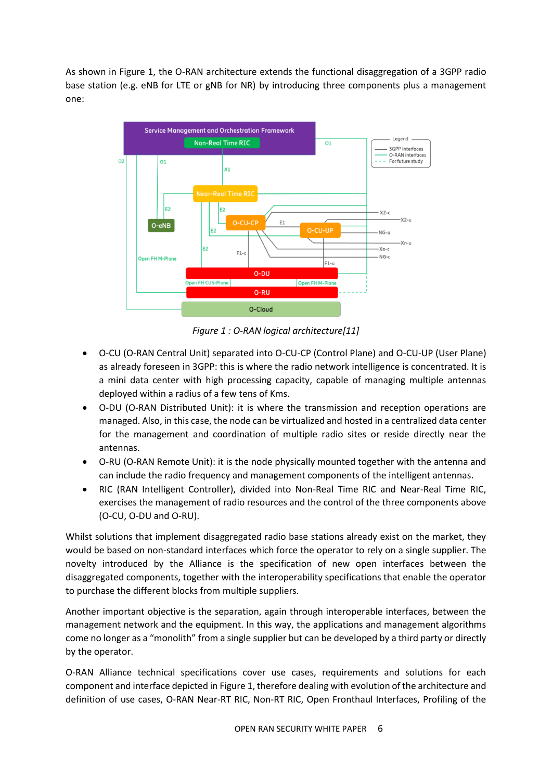As shown in [Figure 1,](#page-5-0) the O-RAN architecture extends the functional disaggregation of a 3GPP radio base station (e.g. eNB for LTE or gNB for NR) by introducing three components plus a management one:



*Figure 1 : O-RAN logical architectur[e\[11\]](#page-15-3)*

- <span id="page-5-0"></span>• O-CU (O-RAN Central Unit) separated into O-CU-CP (Control Plane) and O-CU-UP (User Plane) as already foreseen in 3GPP: this is where the radio network intelligence is concentrated. It is a mini data center with high processing capacity, capable of managing multiple antennas deployed within a radius of a few tens of Kms.
- O-DU (O-RAN Distributed Unit): it is where the transmission and reception operations are managed. Also, in this case, the node can be virtualized and hosted in a centralized data center for the management and coordination of multiple radio sites or reside directly near the antennas.
- O-RU (O-RAN Remote Unit): it is the node physically mounted together with the antenna and can include the radio frequency and management components of the intelligent antennas.
- RIC (RAN Intelligent Controller), divided into Non-Real Time RIC and Near-Real Time RIC, exercises the management of radio resources and the control of the three components above (O-CU, O-DU and O-RU).

Whilst solutions that implement disaggregated radio base stations already exist on the market, they would be based on non-standard interfaces which force the operator to rely on a single supplier. The novelty introduced by the Alliance is the specification of new open interfaces between the disaggregated components, together with the interoperability specifications that enable the operator to purchase the different blocks from multiple suppliers.

Another important objective is the separation, again through interoperable interfaces, between the management network and the equipment. In this way, the applications and management algorithms come no longer as a "monolith" from a single supplier but can be developed by a third party or directly by the operator.

O-RAN Alliance technical specifications cover use cases, requirements and solutions for each component and interface depicted i[n Figure 1,](#page-5-0) therefore dealing with evolution of the architecture and definition of use cases, O-RAN Near-RT RIC, Non-RT RIC, Open Fronthaul Interfaces, Profiling of the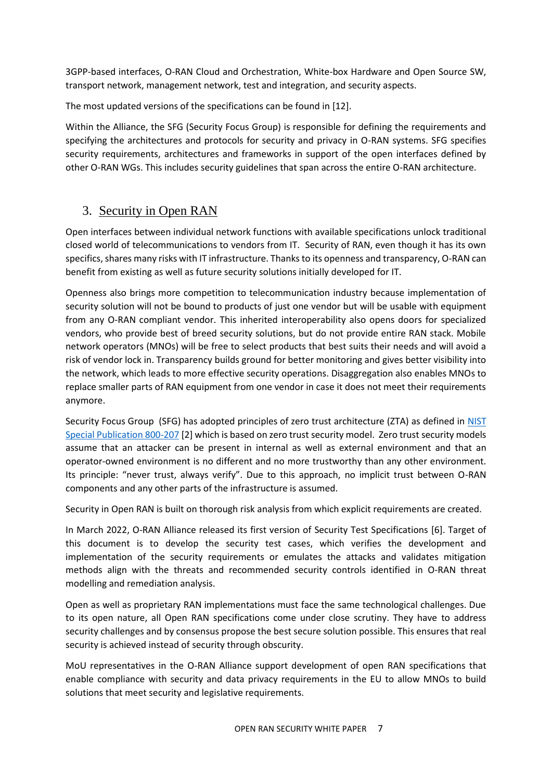3GPP-based interfaces, O-RAN Cloud and Orchestration, White-box Hardware and Open Source SW, transport network, management network, test and integration, and security aspects.

The most updated versions of the specifications can be found in [\[12\].](#page-15-4)

Within the Alliance, the SFG (Security Focus Group) is responsible for defining the requirements and specifying the architectures and protocols for security and privacy in O-RAN systems. SFG specifies security requirements, architectures and frameworks in support of the open interfaces defined by other O-RAN WGs. This includes security guidelines that span across the entire O-RAN architecture.

# <span id="page-6-0"></span>3. Security in Open RAN

Open interfaces between individual network functions with available specifications unlock traditional closed world of telecommunications to vendors from IT. Security of RAN, even though it has its own specifics, shares many risks with IT infrastructure. Thanks to its openness and transparency, O-RAN can benefit from existing as well as future security solutions initially developed for IT.

Openness also brings more competition to telecommunication industry because implementation of security solution will not be bound to products of just one vendor but will be usable with equipment from any O-RAN compliant vendor. This inherited interoperability also opens doors for specialized vendors, who provide best of breed security solutions, but do not provide entire RAN stack. Mobile network operators (MNOs) will be free to select products that best suits their needs and will avoid a risk of vendor lock in. Transparency builds ground for better monitoring and gives better visibility into the network, which leads to more effective security operations. Disaggregation also enables MNOs to replace smaller parts of RAN equipment from one vendor in case it does not meet their requirements anymore.

Security Focus Group (SFG) has adopted principles of zero trust architecture (ZTA) as defined in [NIST](https://nvlpubs.nist.gov/nistpubs/SpecialPublications/NIST.SP.800-207.pdf)  [Special Publication 800-207](https://nvlpubs.nist.gov/nistpubs/SpecialPublications/NIST.SP.800-207.pdf) [\[2\]](#page-14-2) which is based on zero trust security model. Zero trust security models assume that an attacker can be present in internal as well as external environment and that an operator-owned environment is no different and no more trustworthy than any other environment. Its principle: "never trust, always verify". Due to this approach, no implicit trust between O-RAN components and any other parts of the infrastructure is assumed.

Security in Open RAN is built on thorough risk analysis from which explicit requirements are created.

In March 2022, O-RAN Alliance released its first version of Security Test Specifications [\[6\].](#page-14-6) Target of this document is to develop the security test cases, which verifies the development and implementation of the security requirements or emulates the attacks and validates mitigation methods align with the threats and recommended security controls identified in O-RAN threat modelling and remediation analysis.

Open as well as proprietary RAN implementations must face the same technological challenges. Due to its open nature, all Open RAN specifications come under close scrutiny. They have to address security challenges and by consensus propose the best secure solution possible. This ensures that real security is achieved instead of security through obscurity.

MoU representatives in the O-RAN Alliance support development of open RAN specifications that enable compliance with security and data privacy requirements in the EU to allow MNOs to build solutions that meet security and legislative requirements.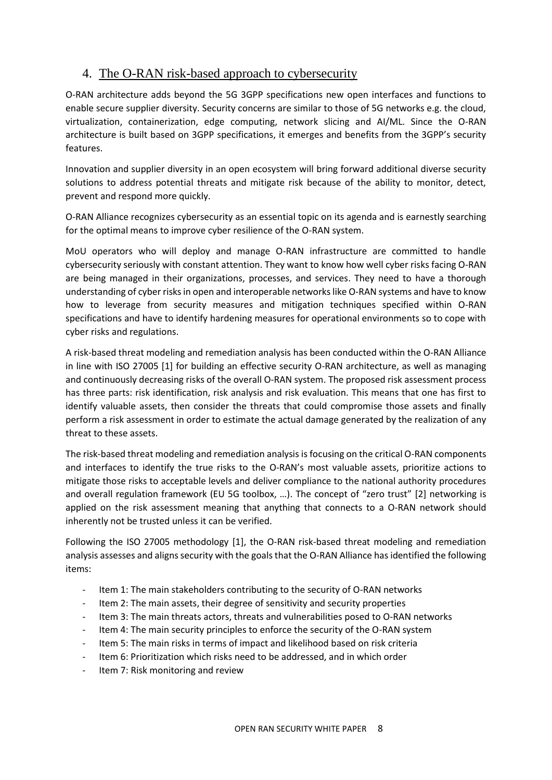# <span id="page-7-0"></span>4. The O-RAN risk-based approach to cybersecurity

O-RAN architecture adds beyond the 5G 3GPP specifications new open interfaces and functions to enable secure supplier diversity. Security concerns are similar to those of 5G networks e.g. the cloud, virtualization, containerization, edge computing, network slicing and AI/ML. Since the O-RAN architecture is built based on 3GPP specifications, it emerges and benefits from the 3GPP's security features.

Innovation and supplier diversity in an open ecosystem will bring forward additional diverse security solutions to address potential threats and mitigate risk because of the ability to monitor, detect, prevent and respond more quickly.

O-RAN Alliance recognizes cybersecurity as an essential topic on its agenda and is earnestly searching for the optimal means to improve cyber resilience of the O-RAN system.

MoU operators who will deploy and manage O-RAN infrastructure are committed to handle cybersecurity seriously with constant attention. They want to know how well cyber risks facing O-RAN are being managed in their organizations, processes, and services. They need to have a thorough understanding of cyber risks in open and interoperable networks like O-RAN systems and have to know how to leverage from security measures and mitigation techniques specified within O-RAN specifications and have to identify hardening measures for operational environments so to cope with cyber risks and regulations.

A risk-based threat modeling and remediation analysis has been conducted within the O-RAN Alliance in line with ISO 27005 [\[1\]](#page-14-1) for building an effective security O-RAN architecture, as well as managing and continuously decreasing risks of the overall O-RAN system. The proposed risk assessment process has three parts: risk identification, risk analysis and risk evaluation. This means that one has first to identify valuable assets, then consider the threats that could compromise those assets and finally perform a risk assessment in order to estimate the actual damage generated by the realization of any threat to these assets.

The risk-based threat modeling and remediation analysis is focusing on the critical O-RAN components and interfaces to identify the true risks to the O-RAN's most valuable assets, prioritize actions to mitigate those risks to acceptable levels and deliver compliance to the national authority procedures and overall regulation framework (EU 5G toolbox, …). The concept of "zero trust" [\[2\]](#page-14-2) networking is applied on the risk assessment meaning that anything that connects to a O-RAN network should inherently not be trusted unless it can be verified.

Following the ISO 27005 methodology [\[1\],](#page-14-1) the O-RAN risk-based threat modeling and remediation analysis assesses and aligns security with the goals that the O-RAN Alliance has identified the following items:

- Item 1: The main stakeholders contributing to the security of O-RAN networks
- Item 2: The main assets, their degree of sensitivity and security properties
- Item 3: The main threats actors, threats and vulnerabilities posed to O-RAN networks
- Item 4: The main security principles to enforce the security of the O-RAN system
- Item 5: The main risks in terms of impact and likelihood based on risk criteria
- Item 6: Prioritization which risks need to be addressed, and in which order
- Item 7: Risk monitoring and review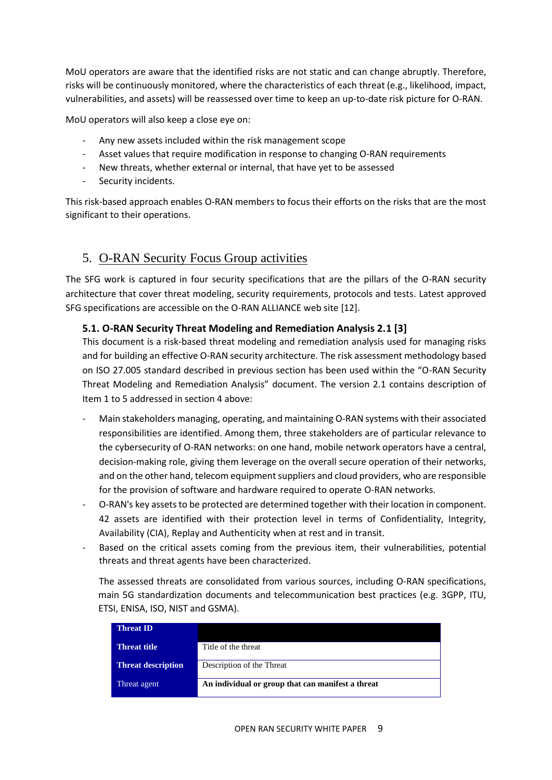MoU operators are aware that the identified risks are not static and can change abruptly. Therefore, risks will be continuously monitored, where the characteristics of each threat (e.g., likelihood, impact, vulnerabilities, and assets) will be reassessed over time to keep an up-to-date risk picture for O-RAN.

MoU operators will also keep a close eye on:

- Any new assets included within the risk management scope
- Asset values that require modification in response to changing O-RAN requirements
- New threats, whether external or internal, that have yet to be assessed
- Security incidents.

This risk-based approach enables O-RAN members to focus their efforts on the risks that are the most significant to their operations.

## <span id="page-8-0"></span>5. O-RAN Security Focus Group activities

The SFG work is captured in four security specifications that are the pillars of the O-RAN security architecture that cover threat modeling, security requirements, protocols and tests. Latest approved SFG specifications are accessible on the O-RAN ALLIANCE web site [\[12\].](#page-15-4)

#### **5.1. O-RAN Security Threat Modeling and Remediation Analysis 2.1 [\[3\]](#page-14-3)**

This document is a risk-based threat modeling and remediation analysis used for managing risks and for building an effective O-RAN security architecture. The risk assessment methodology based on ISO 27.005 standard described in previous section has been used within the "O-RAN Security Threat Modeling and Remediation Analysis" document. The version 2.1 contains description of Item 1 to 5 addressed in section [4](#page-7-0) above:

- Main stakeholders managing, operating, and maintaining O-RAN systems with their associated responsibilities are identified. Among them, three stakeholders are of particular relevance to the cybersecurity of O-RAN networks: on one hand, mobile network operators have a central, decision-making role, giving them leverage on the overall secure operation of their networks, and on the other hand, telecom equipment suppliers and cloud providers, who are responsible for the provision of software and hardware required to operate O-RAN networks.
- O-RAN's key assets to be protected are determined together with their location in component. 42 assets are identified with their protection level in terms of Confidentiality, Integrity, Availability (CIA), Replay and Authenticity when at rest and in transit.
- Based on the critical assets coming from the previous item, their vulnerabilities, potential threats and threat agents have been characterized.

The assessed threats are consolidated from various sources, including O-RAN specifications, main 5G standardization documents and telecommunication best practices (e.g. 3GPP, ITU, ETSI, ENISA, ISO, NIST and GSMA).

| Title of the threat                               |
|---------------------------------------------------|
| Description of the Threat                         |
| An individual or group that can manifest a threat |
|                                                   |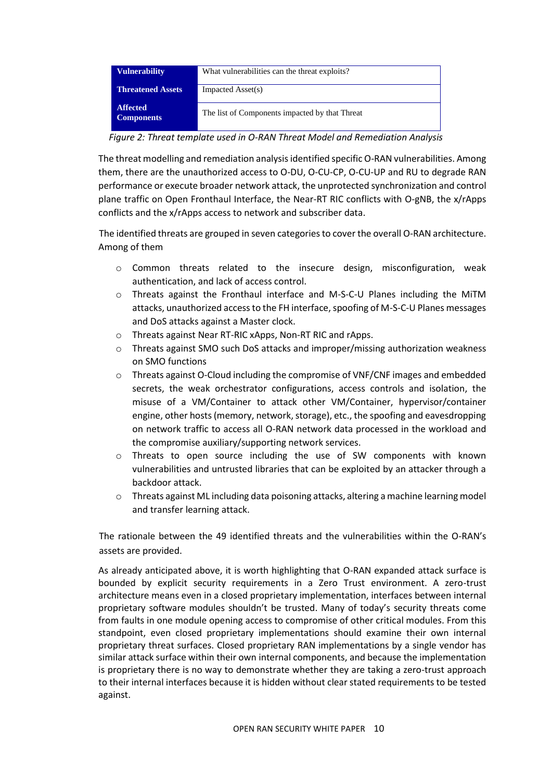| <b>Vulnerability</b>                 | What vulnerabilities can the threat exploits?  |  |  |  |
|--------------------------------------|------------------------------------------------|--|--|--|
| <b>Threatened Assets</b>             | Impacted Asset(s)                              |  |  |  |
| <b>Affected</b><br><b>Components</b> | The list of Components impacted by that Threat |  |  |  |

*Figure 2: Threat template used in O-RAN Threat Model and Remediation Analysis*

The threat modelling and remediation analysis identified specific O-RAN vulnerabilities. Among them, there are the unauthorized access to O-DU, O-CU-CP, O-CU-UP and RU to degrade RAN performance or execute broader network attack, the unprotected synchronization and control plane traffic on Open Fronthaul Interface, the Near-RT RIC conflicts with O-gNB, the x/rApps conflicts and the x/rApps access to network and subscriber data.

The identified threats are grouped in seven categories to cover the overall O-RAN architecture. Among of them

- o Common threats related to the insecure design, misconfiguration, weak authentication, and lack of access control.
- o Threats against the Fronthaul interface and M-S-C-U Planes including the MiTM attacks, unauthorized access to the FH interface, spoofing of M-S-C-U Planes messages and DoS attacks against a Master clock.
- o Threats against Near RT-RIC xApps, Non-RT RIC and rApps.
- o Threats against SMO such DoS attacks and improper/missing authorization weakness on SMO functions
- o Threats against O-Cloud including the compromise of VNF/CNF images and embedded secrets, the weak orchestrator configurations, access controls and isolation, the misuse of a VM/Container to attack other VM/Container, hypervisor/container engine, other hosts (memory, network, storage), etc., the spoofing and eavesdropping on network traffic to access all O-RAN network data processed in the workload and the compromise auxiliary/supporting network services.
- o Threats to open source including the use of SW components with known vulnerabilities and untrusted libraries that can be exploited by an attacker through a backdoor attack.
- o Threats against ML including data poisoning attacks, altering a machine learning model and transfer learning attack.

The rationale between the 49 identified threats and the vulnerabilities within the O-RAN's assets are provided.

As already anticipated above, it is worth highlighting that O-RAN expanded attack surface is bounded by explicit security requirements in a Zero Trust environment. A zero-trust architecture means even in a closed proprietary implementation, interfaces between internal proprietary software modules shouldn't be trusted. Many of today's security threats come from faults in one module opening access to compromise of other critical modules. From this standpoint, even closed proprietary implementations should examine their own internal proprietary threat surfaces. Closed proprietary RAN implementations by a single vendor has similar attack surface within their own internal components, and because the implementation is proprietary there is no way to demonstrate whether they are taking a zero-trust approach to their internal interfaces because it is hidden without clear stated requirements to be tested against.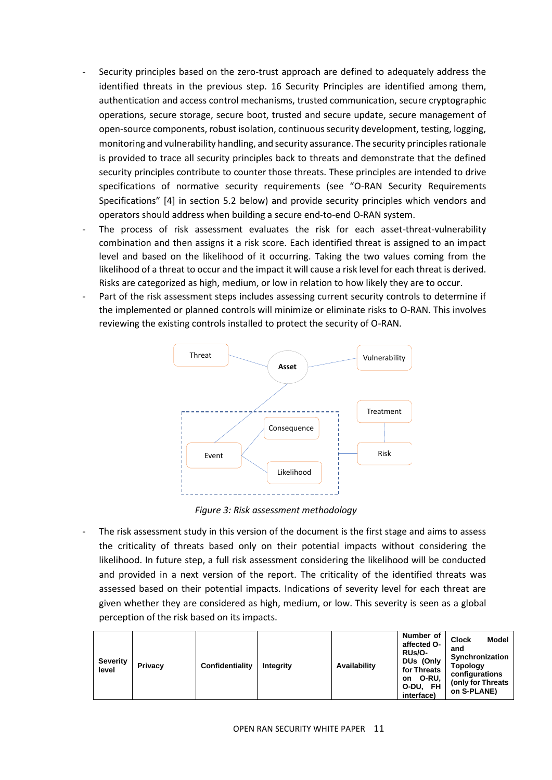- Security principles based on the zero-trust approach are defined to adequately address the identified threats in the previous step. 16 Security Principles are identified among them, authentication and access control mechanisms, trusted communication, secure cryptographic operations, secure storage, secure boot, trusted and secure update, secure management of open-source components, robust isolation, continuous security development, testing, logging, monitoring and vulnerability handling, and security assurance. The security principles rationale is provided to trace all security principles back to threats and demonstrate that the defined security principles contribute to counter those threats. These principles are intended to drive specifications of normative security requirements (see "O-RAN Security Requirements Specifications" [\[4\]](#page-14-4) in section [5.2](#page-11-0) below) and provide security principles which vendors and operators should address when building a secure end-to-end O-RAN system.
- The process of risk assessment evaluates the risk for each asset-threat-vulnerability combination and then assigns it a risk score. Each identified threat is assigned to an impact level and based on the likelihood of it occurring. Taking the two values coming from the likelihood of a threat to occur and the impact it will cause a risk level for each threat is derived. Risks are categorized as high, medium, or low in relation to how likely they are to occur.
- Part of the risk assessment steps includes assessing current security controls to determine if the implemented or planned controls will minimize or eliminate risks to O-RAN. This involves reviewing the existing controls installed to protect the security of O-RAN.



*Figure 3: Risk assessment methodology*

The risk assessment study in this version of the document is the first stage and aims to assess the criticality of threats based only on their potential impacts without considering the likelihood. In future step, a full risk assessment considering the likelihood will be conducted and provided in a next version of the report. The criticality of the identified threats was assessed based on their potential impacts. Indications of severity level for each threat are given whether they are considered as high, medium, or low. This severity is seen as a global perception of the risk based on its impacts.

| Severity<br>level | Privacy | Confidentiality | Intearity | Availability | Number of<br>affected O-<br><b>RUs/O-</b><br>DUs (Only<br>for Threats<br>O-RU,<br>on<br>O-DU, FH<br>interface) | <b>Model</b><br><b>Clock</b><br>and<br>Synchronization<br><b>Topology</b><br>configurations<br>(only for Threats)<br>on S-PLANE) |
|-------------------|---------|-----------------|-----------|--------------|----------------------------------------------------------------------------------------------------------------|----------------------------------------------------------------------------------------------------------------------------------|
|-------------------|---------|-----------------|-----------|--------------|----------------------------------------------------------------------------------------------------------------|----------------------------------------------------------------------------------------------------------------------------------|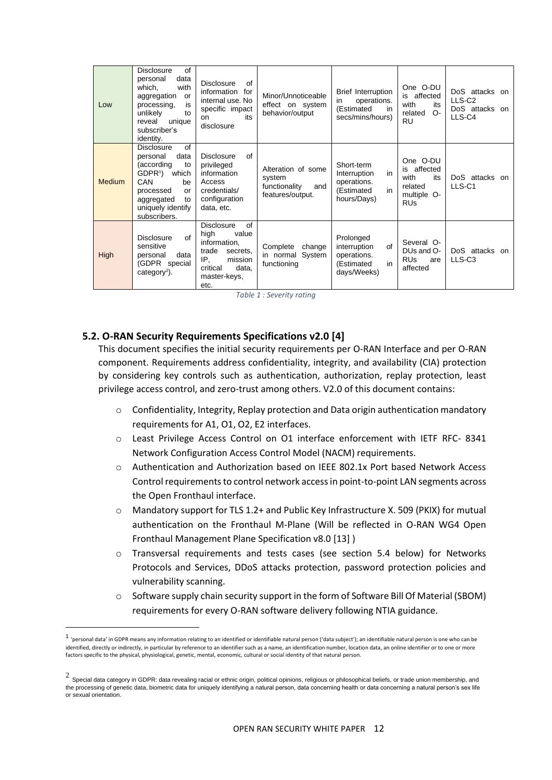| Low           | <b>Disclosure</b><br>of<br>data<br>personal<br>with<br>which,<br>aggregation<br>or<br>is<br>processing,<br>unlikely<br>to<br>unique<br>reveal<br>subscriber's<br>identity.             | <b>Disclosure</b><br>of<br>information<br>for<br>internal use. No<br>specific impact<br>its<br><b>on</b><br>disclosure                       | Minor/Unnoticeable<br>effect on system<br>behavior/output                | Brief Interruption<br>operations.<br>in<br>(Estimated<br>in<br>secs/mins/hours)    | One O-DU<br>is affected<br>with<br>its<br>related<br>$O-$<br><b>RU</b>                    | DoS attacks on<br>LLS-C2<br>DoS attacks on<br>LLS-C4 |
|---------------|----------------------------------------------------------------------------------------------------------------------------------------------------------------------------------------|----------------------------------------------------------------------------------------------------------------------------------------------|--------------------------------------------------------------------------|------------------------------------------------------------------------------------|-------------------------------------------------------------------------------------------|------------------------------------------------------|
| <b>Medium</b> | of<br><b>Disclosure</b><br>data<br>personal<br>(according<br>to<br>GDPR <sup>1</sup><br>which<br>CAN<br>be<br>processed<br>or<br>aggregated<br>to<br>uniquely identify<br>subscribers. | of<br><b>Disclosure</b><br>privileged<br>information<br>Access<br>credentials/<br>configuration<br>data, etc.                                | Alteration of some<br>system<br>and<br>functionality<br>features/output. | Short-term<br>in<br>Interruption<br>operations.<br>in<br>(Estimated<br>hours/Days) | One O-DU<br>is affected<br>with<br>its<br>related<br>multiple O-<br><b>RU<sub>s</sub></b> | DoS attacks on<br>LLS-C1                             |
| High          | of<br><b>Disclosure</b><br>sensitive<br>data<br>personal<br>(GDPR special<br>category <sup>2</sup> ).                                                                                  | of<br><b>Disclosure</b><br>value<br>high<br>information,<br>trade<br>secrets.<br>IP.<br>mission<br>critical<br>data,<br>master-keys,<br>etc. | Complete<br>change<br>in normal System<br>functioning                    | Prolonged<br>of<br>interruption<br>operations.<br>in<br>(Estimated<br>days/Weeks)  | Several O-<br>DUs and O-<br><b>RUs</b><br>are<br>affected                                 | DoS attacks on<br>LLS-C <sub>3</sub>                 |

*Table 1 : Severity rating*

#### <span id="page-11-0"></span>**5.2. O-RAN Security Requirements Specifications v2.0 [\[4\]](#page-14-4)**

This document specifies the initial security requirements per O-RAN Interface and per O-RAN component. Requirements address confidentiality, integrity, and availability (CIA) protection by considering key controls such as authentication, authorization, replay protection, least privilege access control, and zero-trust among others. V2.0 of this document contains:

- o Confidentiality, Integrity, Replay protection and Data origin authentication mandatory requirements for A1, O1, O2, E2 interfaces.
- o Least Privilege Access Control on O1 interface enforcement with IETF RFC- 8341 Network Configuration Access Control Model (NACM) requirements.
- o Authentication and Authorization based on IEEE 802.1x Port based Network Access Control requirements to control network access in point-to-point LAN segments across the Open Fronthaul interface.
- o Mandatory support for TLS 1.2+ and Public Key Infrastructure X. 509 (PKIX) for mutual authentication on the Fronthaul M-Plane (Will be reflected in O-RAN WG4 Open Fronthaul Management Plane Specification v8.0 [\[13\]](#page-15-5) )
- o Transversal requirements and tests cases (see section [5.4](#page-12-0) below) for Networks Protocols and Services, DDoS attacks protection, password protection policies and vulnerability scanning.
- $\circ$  Software supply chain security support in the form of Software Bill Of Material (SBOM) requirements for every O-RAN software delivery following NTIA guidance.

 $1$  'personal data' in GDPR means any information relating to an identified or identifiable natural person ('data subject'); an identifiable natural person is one who can be identified, directly or indirectly, in particular by reference to an identifier such as a name, an identification number, location data, an online identifier or to one or more factors specific to the physical, physiological, genetic, mental, economic, cultural or social identity of that natural person.

<sup>2</sup> Special data category in GDPR: data revealing racial or ethnic origin, political opinions, religious or philosophical beliefs, or trade union membership, and the processing of genetic data, biometric data for uniquely identifying a natural person, data concerning health or data concerning a natural person's sex life or sexual orientation.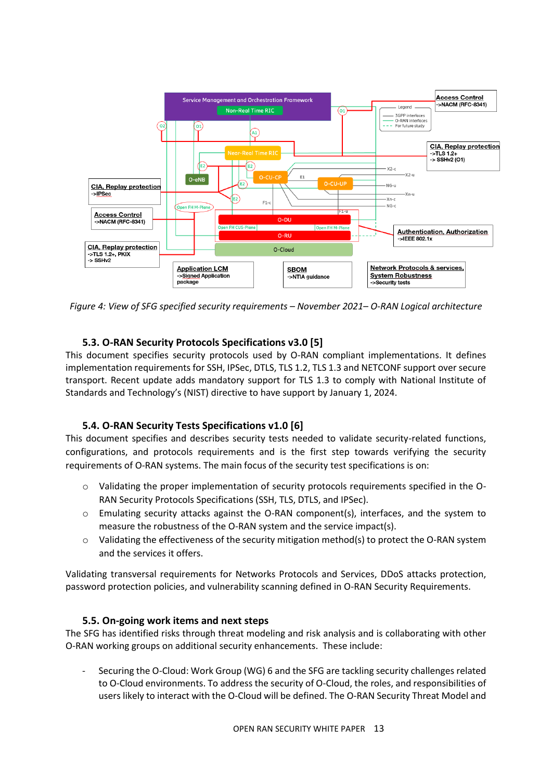

*Figure 4: View of SFG specified security requirements – November 2021– O-RAN Logical architecture*

#### **5.3. O-RAN Security Protocols Specifications v3.0 [\[5\]](#page-14-5)**

This document specifies security protocols used by O-RAN compliant implementations. It defines implementation requirements for SSH, IPSec, DTLS, TLS 1.2, TLS 1.3 and NETCONF support over secure transport. Recent update adds mandatory support for TLS 1.3 to comply with National Institute of Standards and Technology's (NIST) directive to have support by January 1, 2024.

#### **5.4. O-RAN Security Tests Specifications v1.0 [\[6\]](#page-14-6)**

<span id="page-12-0"></span>This document specifies and describes security tests needed to validate security-related functions, configurations, and protocols requirements and is the first step towards verifying the security requirements of O-RAN systems. The main focus of the security test specifications is on:

- o Validating the proper implementation of security protocols requirements specified in the O-RAN Security Protocols Specifications (SSH, TLS, DTLS, and IPSec).
- $\circ$  Emulating security attacks against the O-RAN component(s), interfaces, and the system to measure the robustness of the O-RAN system and the service impact(s).
- $\circ$  Validating the effectiveness of the security mitigation method(s) to protect the O-RAN system and the services it offers.

Validating transversal requirements for Networks Protocols and Services, DDoS attacks protection, password protection policies, and vulnerability scanning defined in O-RAN Security Requirements.

#### **5.5. On-going work items and next steps**

The SFG has identified risks through threat modeling and risk analysis and is collaborating with other O-RAN working groups on additional security enhancements. These include:

- Securing the O-Cloud: Work Group (WG) 6 and the SFG are tackling security challenges related to O-Cloud environments. To address the security of O-Cloud, the roles, and responsibilities of users likely to interact with the O-Cloud will be defined. The O-RAN Security Threat Model and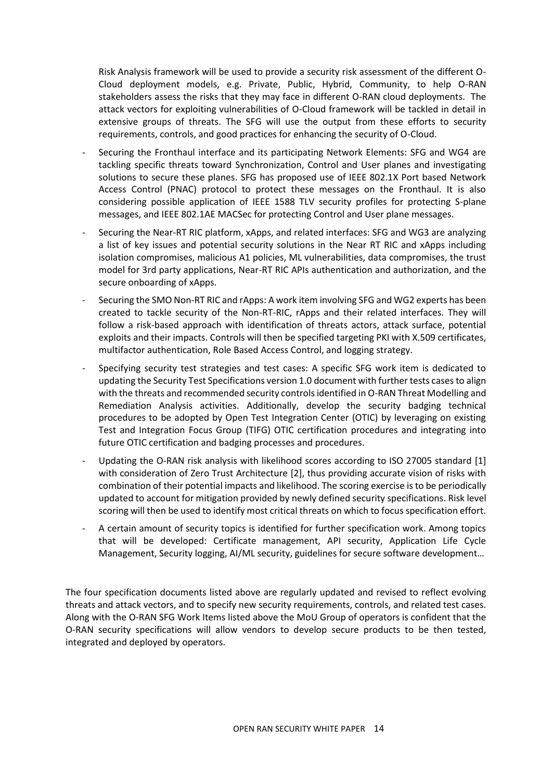Risk Analysis framework will be used to provide a security risk assessment of the different O-Cloud deployment models, e.g. Private, Public, Hybrid, Community, to help O-RAN stakeholders assess the risks that they may face in different O-RAN cloud deployments. The attack vectors for exploiting vulnerabilities of O-Cloud framework will be tackled in detail in extensive groups of threats. The SFG will use the output from these efforts to security requirements, controls, and good practices for enhancing the security of O-Cloud.

- Securing the Fronthaul interface and its participating Network Elements: SFG and WG4 are tackling specific threats toward Synchronization, Control and User planes and investigating solutions to secure these planes. SFG has proposed use of IEEE 802.1X Port based Network Access Control (PNAC) protocol to protect these messages on the Fronthaul. It is also considering possible application of IEEE 1588 TLV security profiles for protecting S-plane messages, and IEEE 802.1AE MACSec for protecting Control and User plane messages.
- Securing the Near-RT RIC platform, xApps, and related interfaces: SFG and WG3 are analyzing a list of key issues and potential security solutions in the Near RT RIC and xApps including isolation compromises, malicious A1 policies, ML vulnerabilities, data compromises, the trust model for 3rd party applications, Near-RT RIC APIs authentication and authorization, and the secure onboarding of xApps.
- Securing the SMO Non-RT RIC and rApps: A work item involving SFG and WG2 experts has been created to tackle security of the Non-RT-RIC, rApps and their related interfaces. They will follow a risk-based approach with identification of threats actors, attack surface, potential exploits and their impacts. Controls will then be specified targeting PKI with X.509 certificates, multifactor authentication, Role Based Access Control, and logging strategy.
- Specifying security test strategies and test cases: A specific SFG work item is dedicated to updating the Security Test Specifications version 1.0 document with further tests cases to align with the threats and recommended security controls identified in O-RAN Threat Modelling and Remediation Analysis activities. Additionally, develop the security badging technical procedures to be adopted by Open Test Integration Center (OTIC) by leveraging on existing Test and Integration Focus Group (TIFG) OTIC certification procedures and integrating into future OTIC certification and badging processes and procedures.
- Updating the O-RAN risk analysis with likelihood scores according to ISO 27005 standard [\[1\]](#page-14-1) with consideration of Zero Trust Architecture [\[2\],](#page-14-2) thus providing accurate vision of risks with combination of their potential impacts and likelihood. The scoring exercise is to be periodically updated to account for mitigation provided by newly defined security specifications. Risk level scoring will then be used to identify most critical threats on which to focus specification effort.
- A certain amount of security topics is identified for further specification work. Among topics that will be developed: Certificate management, API security, Application Life Cycle Management, Security logging, AI/ML security, guidelines for secure software development…

<span id="page-13-0"></span>The four specification documents listed above are regularly updated and revised to reflect evolving threats and attack vectors, and to specify new security requirements, controls, and related test cases. Along with the O-RAN SFG Work Items listed above the MoU Group of operators is confident that the O-RAN security specifications will allow vendors to develop secure products to be then tested, integrated and deployed by operators.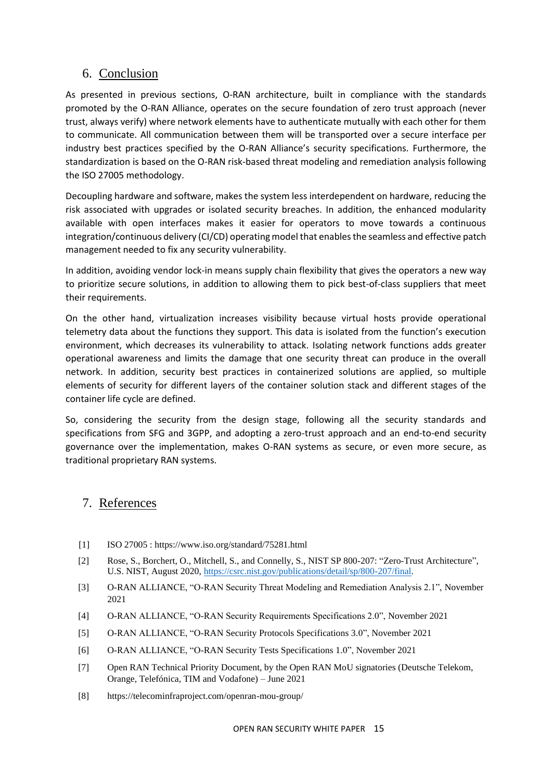## 6. Conclusion

As presented in previous sections, O-RAN architecture, built in compliance with the standards promoted by the O-RAN Alliance, operates on the secure foundation of zero trust approach (never trust, always verify) where network elements have to authenticate mutually with each other for them to communicate. All communication between them will be transported over a secure interface per industry best practices specified by the O-RAN Alliance's security specifications. Furthermore, the standardization is based on the O-RAN risk-based threat modeling and remediation analysis following the ISO 27005 methodology.

Decoupling hardware and software, makes the system less interdependent on hardware, reducing the risk associated with upgrades or isolated security breaches. In addition, the enhanced modularity available with open interfaces makes it easier for operators to move towards a continuous integration/continuous delivery (CI/CD) operating model that enables the seamless and effective patch management needed to fix any security vulnerability.

In addition, avoiding vendor lock-in means supply chain flexibility that gives the operators a new way to prioritize secure solutions, in addition to allowing them to pick best-of-class suppliers that meet their requirements.

On the other hand, virtualization increases visibility because virtual hosts provide operational telemetry data about the functions they support. This data is isolated from the function's execution environment, which decreases its vulnerability to attack. Isolating network functions adds greater operational awareness and limits the damage that one security threat can produce in the overall network. In addition, security best practices in containerized solutions are applied, so multiple elements of security for different layers of the container solution stack and different stages of the container life cycle are defined.

So, considering the security from the design stage, following all the security standards and specifications from SFG and 3GPP, and adopting a zero-trust approach and an end-to-end security governance over the implementation, makes O-RAN systems as secure, or even more secure, as traditional proprietary RAN systems.

## <span id="page-14-0"></span>7. References

- <span id="page-14-1"></span>[1] ISO 27005 : https://www.iso.org/standard/75281.html
- <span id="page-14-2"></span>[2] Rose, S., Borchert, O., Mitchell, S., and Connelly, S., NIST SP 800-207: "Zero-Trust Architecture", U.S. NIST, August 2020, [https://csrc.nist.gov/publications/detail/sp/800-207/final.](https://csrc.nist.gov/publications/detail/sp/800-207/final)
- <span id="page-14-3"></span>[3] O-RAN ALLIANCE, "O-RAN Security Threat Modeling and Remediation Analysis 2.1", November 2021
- <span id="page-14-4"></span>[4] O-RAN ALLIANCE, "O-RAN Security Requirements Specifications 2.0", November 2021
- <span id="page-14-5"></span>[5] O-RAN ALLIANCE, "O-RAN Security Protocols Specifications 3.0", November 2021
- <span id="page-14-6"></span>[6] O-RAN ALLIANCE, "O-RAN Security Tests Specifications 1.0", November 2021
- <span id="page-14-7"></span>[7] Open RAN Technical Priority Document, by the Open RAN MoU signatories (Deutsche Telekom, Orange, Telefónica, TIM and Vodafone) – June 2021
- <span id="page-14-8"></span>[8] https://telecominfraproject.com/openran-mou-group/